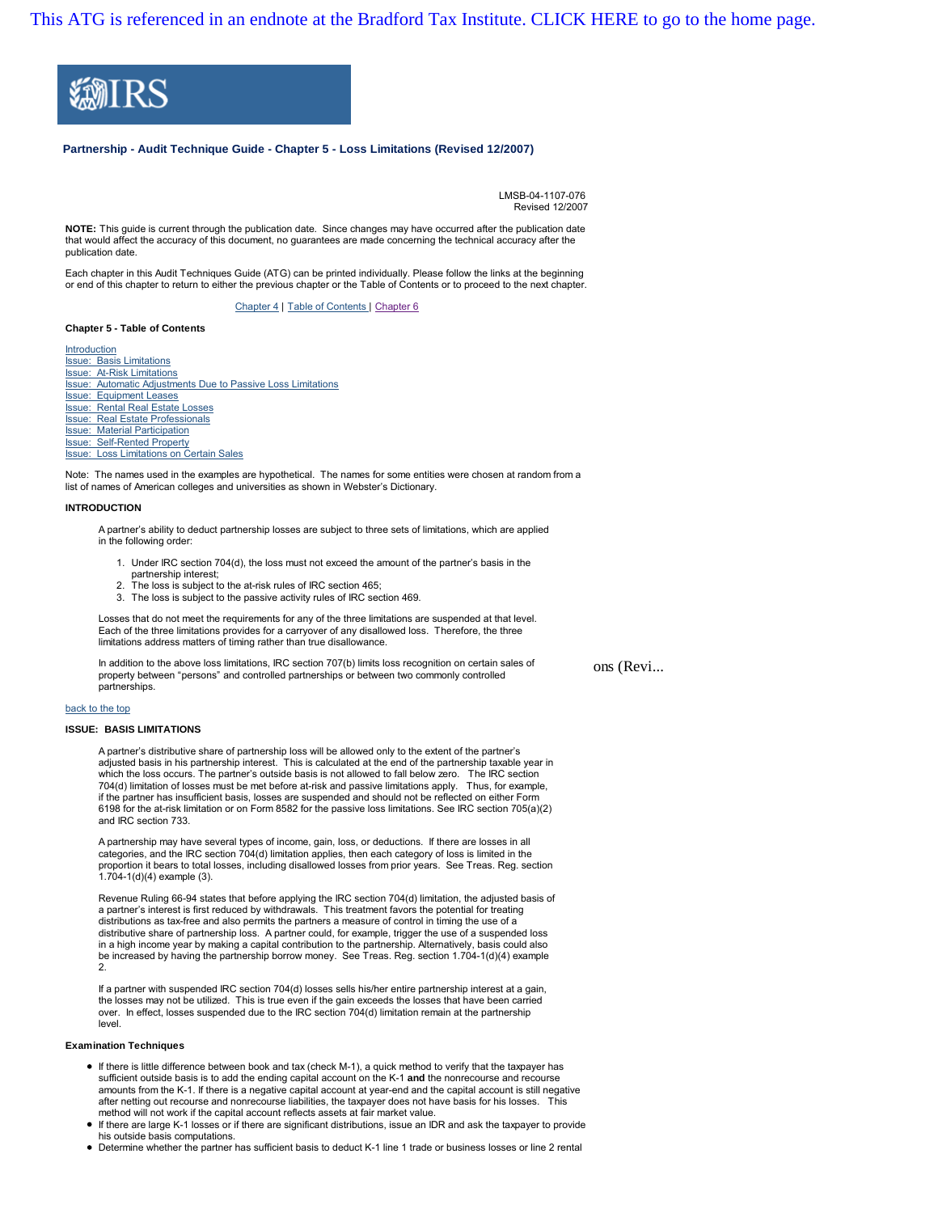[This ATG is referenced in an endnote at the Bradford Tax Institute. CLICK HERE to go to the home page.](http://bradfordtaxinstitute.com/index1.aspx)



# **Partnership - Audit Technique Guide - Chapter 5 - Loss Limitations (Revised 12/2007)**

LMSB-04-1107-076 Revised 12/2007

**NOTE:** This guide is current through the publication date. Since changes may have occurred after the publication date that would affect the accuracy of this document, no guarantees are made concerning the technical accuracy after the publication date.

Each chapter in this Audit Techniques Guide (ATG) can be printed individually. Please follow the links at the beginning or end of this chapter to return to either the previous chapter or the Table of Contents or to proceed to the next chapter.

Chapter 4 | Table of Contents | Chapter 6

#### **Chapter 5 - Table of Contents**

Introduction Issue: Basis Limitations Issue: At-Risk Limitations Issue: Automatic Adjustments Due to Passive Loss Limitations Issue: Equipment Leases Issue: Rental Real Estate Losses Issue: Real Estate Professionals Issue: Material Participation Issue: Self-Rented Property Issue: Loss Limitations on Certain Sales

Note: The names used in the examples are hypothetical. The names for some entities were chosen at random from a list of names of American colleges and universities as shown in Webster's Dictionary.

#### **INTRODUCTION**

A partner's ability to deduct partnership losses are subject to three sets of limitations, which are applied in the following order:

- 1. Under IRC section 704(d), the loss must not exceed the amount of the partner's basis in the partnership interest;
- 2. The loss is subject to the at-risk rules of IRC section 465;
- 3. The loss is subject to the passive activity rules of IRC section 469.

Losses that do not meet the requirements for any of the three limitations are suspended at that level. Each of the three limitations provides for a carryover of any disallowed loss. Therefore, the three limitations address matters of timing rather than true disallowance.

In addition to the above loss limitations, IRC section 707(b) limits loss recognition on certain sales of property between "persons" and controlled partnerships or between two commonly controlled partnerships.

ons (Revi...

#### back to the top

#### **ISSUE: BASIS LIMITATIONS**

A partner's distributive share of partnership loss will be allowed only to the extent of the partner's adjusted basis in his partnership interest. This is calculated at the end of the partnership taxable year in which the loss occurs. The partner's outside basis is not allowed to fall below zero. The IRC section 704(d) limitation of losses must be met before at-risk and passive limitations apply. Thus, for example, if the partner has insufficient basis, losses are suspended and should not be reflected on either Form 6198 for the at-risk limitation or on Form 8582 for the passive loss limitations. See IRC section 705(a)(2) and IRC section 733.

A partnership may have several types of income, gain, loss, or deductions. If there are losses in all categories, and the IRC section 704(d) limitation applies, then each category of loss is limited in the proportion it bears to total losses, including disallowed losses from prior years. See Treas. Reg. section 1.704-1(d)(4) example (3).

Revenue Ruling 66-94 states that before applying the IRC section 704(d) limitation, the adjusted basis of a partner's interest is first reduced by withdrawals. This treatment favors the potential for treating distributions as tax-free and also permits the partners a measure of control in timing the use of a distributive share of partnership loss. A partner could, for example, trigger the use of a suspended loss in a high income year by making a capital contribution to the partnership. Alternatively, basis could also be increased by having the partnership borrow money. See Treas. Reg. section 1.704-1(d)(4) example 2.

If a partner with suspended IRC section 704(d) losses sells his/her entire partnership interest at a gain, the losses may not be utilized. This is true even if the gain exceeds the losses that have been carried over. In effect, losses suspended due to the IRC section 704(d) limitation remain at the partnership level.

# **Examination Techniques**

- If there is little difference between book and tax (check M-1), a quick method to verify that the taxpayer has sufficient outside basis is to add the ending capital account on the K-1 **and** the nonrecourse and recourse amounts from the K-1. If there is a negative capital account at year-end and the capital account is still negative after netting out recourse and nonrecourse liabilities, the taxpayer does not have basis for his losses. This method will not work if the capital account reflects assets at fair market value.
- If there are large K-1 losses or if there are significant distributions, issue an IDR and ask the taxpayer to provide his outside basis computations.
- Determine whether the partner has sufficient basis to deduct K-1 line 1 trade or business losses or line 2 rental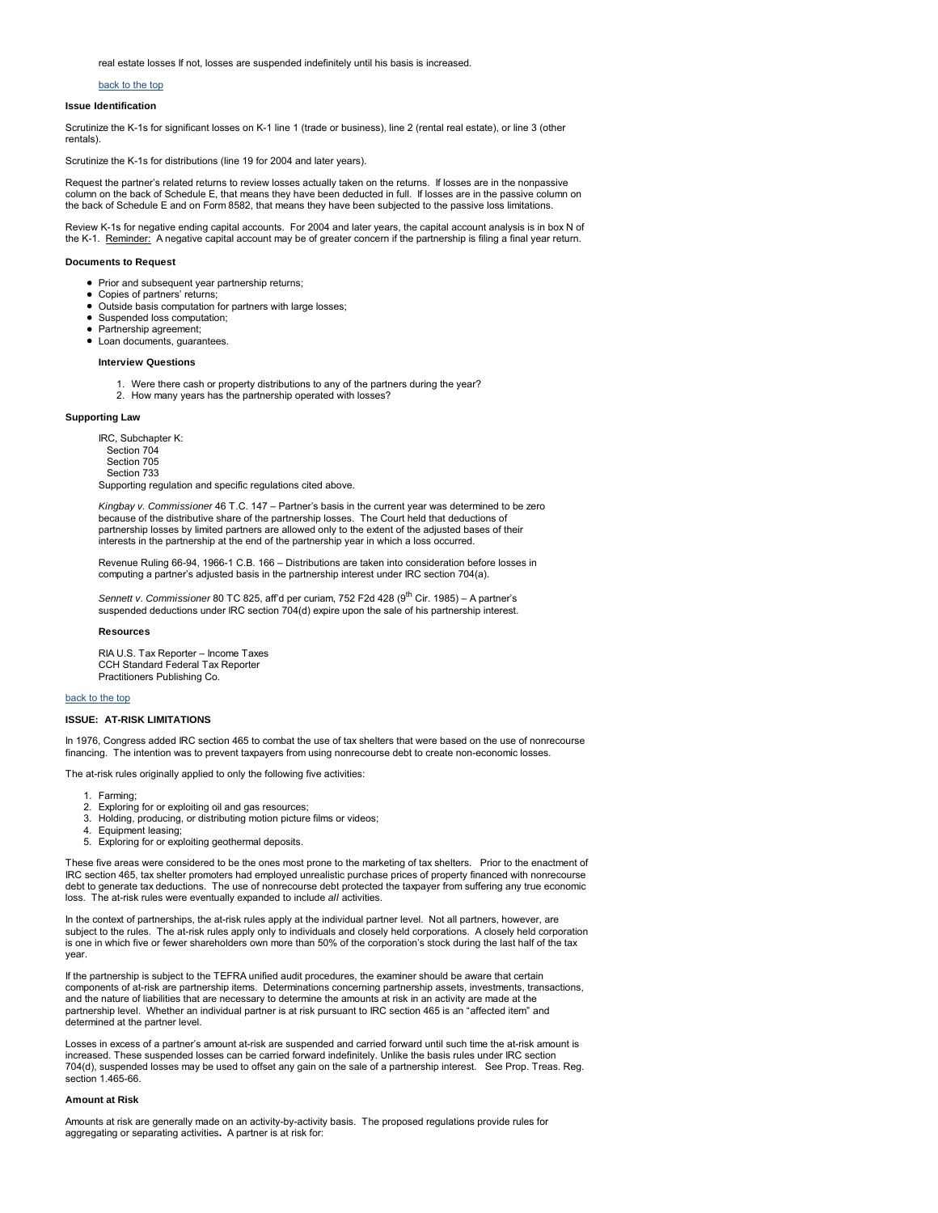real estate losses If not, losses are suspended indefinitely until his basis is increased.

# back to the top

# **Issue Identification**

Scrutinize the K-1s for significant losses on K-1 line 1 (trade or business), line 2 (rental real estate), or line 3 (other rentals).

Scrutinize the K-1s for distributions (line 19 for 2004 and later years).

Request the partner's related returns to review losses actually taken on the returns. If losses are in the nonpassive column on the back of Schedule E, that means they have been deducted in full. If losses are in the passive column on the back of Schedule E and on Form 8582, that means they have been subjected to the passive loss limitations.

Review K-1s for negative ending capital accounts. For 2004 and later years, the capital account analysis is in box N of the K-1. Reminder: A negative capital account may be of greater concern if the partnership is filing a final year return.

## **Documents to Request**

- Prior and subsequent year partnership returns;
- $\bullet$ Copies of partners' returns;
- $\bullet$ Outside basis computation for partners with large losses;
- $\bullet$ Suspended loss computation;
- Partnership agreement;
- Loan documents, quarantees

### **Interview Questions**

- 1. Were there cash or property distributions to any of the partners during the year?
- 2. How many years has the partnership operated with losses?

### **Supporting Law**

IRC, Subchapter K: Section 704 Section 705 Section 733 Supporting regulation and specific regulations cited above.

*Kingbay v. Commissioner* 46 T.C. 147 – Partner's basis in the current year was determined to be zero because of the distributive share of the partnership losses. The Court held that deductions of partnership losses by limited partners are allowed only to the extent of the adjusted bases of their interests in the partnership at the end of the partnership year in which a loss occurred.

Revenue Ruling 66-94, 1966-1 C.B. 166 – Distributions are taken into consideration before losses in computing a partner's adjusted basis in the partnership interest under IRC section 704(a).

Sennett v. Commissioner 80 TC 825, aff'd per curiam, 752 F2d 428 (9<sup>th</sup> Cir. 1985) – A partner's suspended deductions under IRC section 704(d) expire upon the sale of his partnership interest.

# **Resources**

RIA U.S. Tax Reporter – Income Taxes CCH Standard Federal Tax Reporter Practitioners Publishing Co.

# back to the top

### **ISSUE: AT-RISK LIMITATIONS**

In 1976, Congress added IRC section 465 to combat the use of tax shelters that were based on the use of nonrecourse financing. The intention was to prevent taxpayers from using nonrecourse debt to create non-economic losses.

The at-risk rules originally applied to only the following five activities:

- 1. Farming;
- 2. Exploring for or exploiting oil and gas resources;
- 3. Holding, producing, or distributing motion picture films or videos;
- 4. Equipment leasing;<br>5. Exploring for or exp
- Exploring for or exploiting geothermal deposits.

These five areas were considered to be the ones most prone to the marketing of tax shelters. Prior to the enactment of IRC section 465, tax shelter promoters had employed unrealistic purchase prices of property financed with nonrecourse debt to generate tax deductions. The use of nonrecourse debt protected the taxpayer from suffering any true economic loss. The at-risk rules were eventually expanded to include *all* activities.

In the context of partnerships, the at-risk rules apply at the individual partner level. Not all partners, however, are subject to the rules. The at-risk rules apply only to individuals and closely held corporations. A closely held corporation is one in which five or fewer shareholders own more than 50% of the corporation's stock during the last half of the tax year.

If the partnership is subject to the TEFRA unified audit procedures, the examiner should be aware that certain components of at-risk are partnership items. Determinations concerning partnership assets, investments, transactions, and the nature of liabilities that are necessary to determine the amounts at risk in an activity are made at the partnership level. Whether an individual partner is at risk pursuant to IRC section 465 is an "affected item" and determined at the partner level.

Losses in excess of a partner's amount at-risk are suspended and carried forward until such time the at-risk amount is increased. These suspended losses can be carried forward indefinitely. Unlike the basis rules under IRC section 704(d), suspended losses may be used to offset any gain on the sale of a partnership interest. See Prop. Treas. Reg. section 1.465-66.

# **Amount at Risk**

Amounts at risk are generally made on an activity-by-activity basis. The proposed regulations provide rules for aggregating or separating activities**.** A partner is at risk for: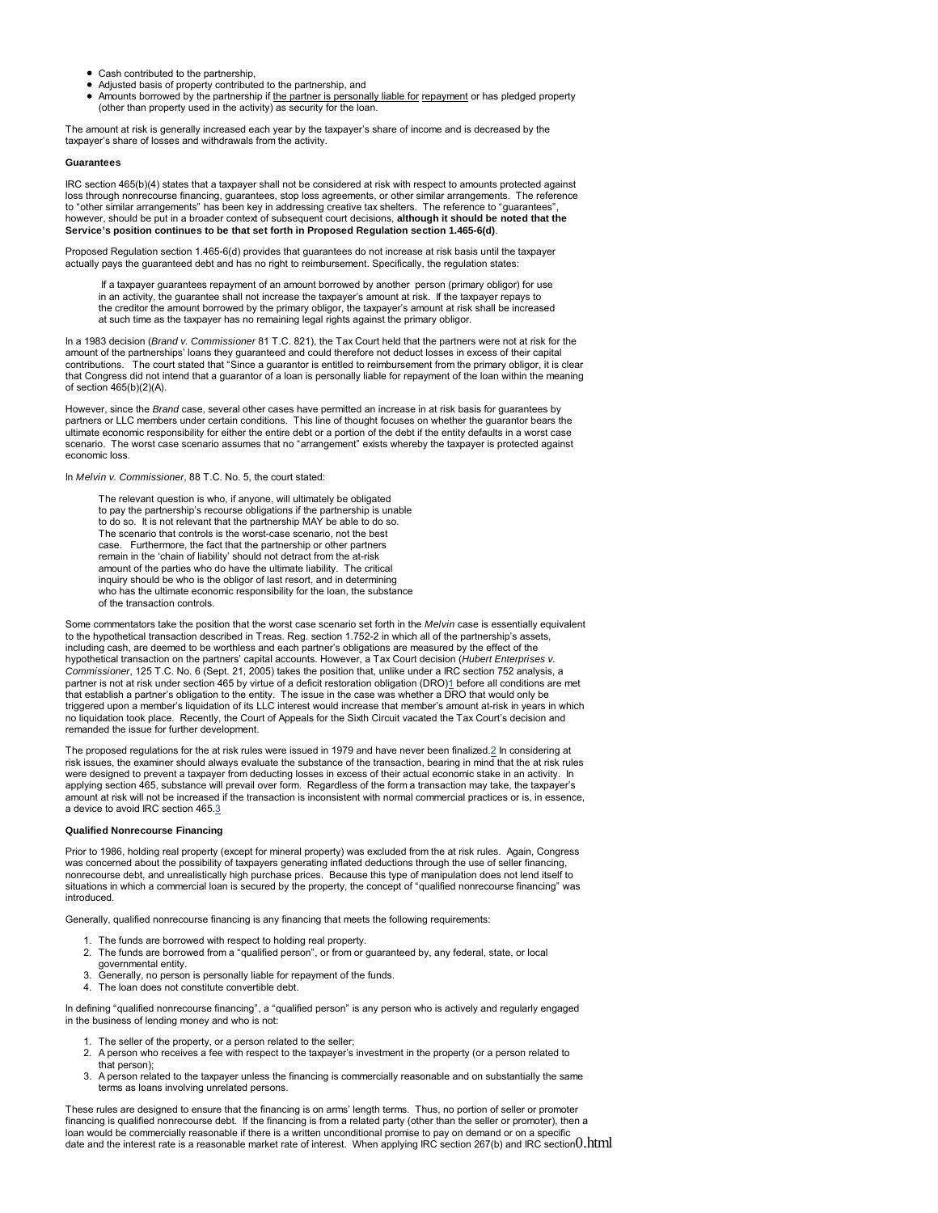- Cash contributed to the partnership,
- Adjusted basis of property contributed to the partnership, and
- Amounts borrowed by the partnership if the partner is personally liable for repayment or has pledged property (other than property used in the activity) as security for the loan.

The amount at risk is generally increased each year by the taxpayer's share of income and is decreased by the taxpayer's share of losses and withdrawals from the activity.

# **Guarantees**

IRC section 465(b)(4) states that a taxpayer shall not be considered at risk with respect to amounts protected against loss through nonrecourse financing, guarantees, stop loss agreements, or other similar arrangements. The reference to "other similar arrangements" has been key in addressing creative tax shelters. The reference to "guarantees", however, should be put in a broader context of subsequent court decisions, **although it should be noted that the Service's position continues to be that set forth in Proposed Regulation section 1.465-6(d)**.

Proposed Regulation section 1.465-6(d) provides that guarantees do not increase at risk basis until the taxpayer actually pays the guaranteed debt and has no right to reimbursement. Specifically, the regulation states:

 If a taxpayer guarantees repayment of an amount borrowed by another person (primary obligor) for use in an activity, the guarantee shall not increase the taxpayer's amount at risk. If the taxpayer repays to the creditor the amount borrowed by the primary obligor, the taxpayer's amount at risk shall be increased at such time as the taxpayer has no remaining legal rights against the primary obligor.

In a 1983 decision (*Brand v. Commissioner* 81 T.C. 821), the Tax Court held that the partners were not at risk for the amount of the partnerships' loans they guaranteed and could therefore not deduct losses in excess of their capital contributions. The court stated that "Since a guarantor is entitled to reimbursement from the primary obligor, it is clear that Congress did not intend that a guarantor of a loan is personally liable for repayment of the loan within the meaning of section 465(b)(2)(A).

However, since the *Brand* case, several other cases have permitted an increase in at risk basis for guarantees by partners or LLC members under certain conditions. This line of thought focuses on whether the guarantor bears the ultimate economic responsibility for either the entire debt or a portion of the debt if the entity defaults in a worst case scenario. The worst case scenario assumes that no "arrangement" exists whereby the taxpayer is protected against economic loss.

In *Melvin v. Commissioner*, 88 T.C. No. 5, the court stated:

 The relevant question is who, if anyone, will ultimately be obligated to pay the partnership's recourse obligations if the partnership is unable to do so. It is not relevant that the partnership MAY be able to do so. The scenario that controls is the worst-case scenario, not the best case. Furthermore, the fact that the partnership or other partners remain in the 'chain of liability' should not detract from the at-risk amount of the parties who do have the ultimate liability. The critical inquiry should be who is the obligor of last resort, and in determining who has the ultimate economic responsibility for the loan, the substance of the transaction controls.

Some commentators take the position that the worst case scenario set forth in the *Melvin* case is essentially equivalent to the hypothetical transaction described in Treas. Reg. section 1.752-2 in which all of the partnership's assets, including cash, are deemed to be worthless and each partner's obligations are measured by the effect of the hypothetical transaction on the partners' capital accounts. However, a Tax Court decision (*Hubert Enterprises v. Commissioner*, 125 T.C. No. 6 (Sept. 21, 2005) takes the position that, unlike under a IRC section 752 analysis, a partner is not at risk under section 465 by virtue of a deficit restoration obligation (DRO)1 before all conditions are met that establish a partner's obligation to the entity. The issue in the case was whether a DRO that would only be<br>triggered upon a member's liquidation of its LLC interest would increase that member's amount at-risk in year no liquidation took place. Recently, the Court of Appeals for the Sixth Circuit vacated the Tax Court's decision and remanded the issue for further development.

The proposed regulations for the at risk rules were issued in 1979 and have never been finalized.2 In considering at risk issues, the examiner should always evaluate the substance of the transaction, bearing in mind that the at risk rules were designed to prevent a taxpayer from deducting losses in excess of their actual economic stake in an activity. In applying section 465, substance will prevail over form. Regardless of the form a transaction may take, the taxpayer's amount at risk will not be increased if the transaction is inconsistent with normal commercial practices or is, in essence, a device to avoid IRC section 465.3

# **Qualified Nonrecourse Financing**

Prior to 1986, holding real property (except for mineral property) was excluded from the at risk rules. Again, Congress was concerned about the possibility of taxpayers generating inflated deductions through the use of seller financing, nonrecourse debt, and unrealistically high purchase prices. Because this type of manipulation does not lend itself to situations in which a commercial loan is secured by the property, the concept of "qualified nonrecourse financing" was introduced.

Generally, qualified nonrecourse financing is any financing that meets the following requirements:

- 1. The funds are borrowed with respect to holding real property.
- 2. The funds are borrowed from a "qualified person", or from or guaranteed by, any federal, state, or local governmental entity.
- 3. Generally, no person is personally liable for repayment of the funds.
- 4. The loan does not constitute convertible debt.

In defining "qualified nonrecourse financing", a "qualified person" is any person who is actively and regularly engaged in the business of lending money and who is not:

- 1. The seller of the property, or a person related to the seller;
- 2. A person who receives a fee with respect to the taxpayer's investment in the property (or a person related to that person);
- 3. A person related to the taxpayer unless the financing is commercially reasonable and on substantially the same terms as loans involving unrelated persons.

These rules are designed to ensure that the financing is on arms' length terms. Thus, no portion of seller or promoter financing is qualified nonrecourse debt. If the financing is from a related party (other than the seller or promoter), then a loan would be commercially reasonable if there is a written unconditional promise to pay on demand or on a specific date and the interest rate is a reasonable market rate of interest. When applying IRC section 267(b) and IRC section0.html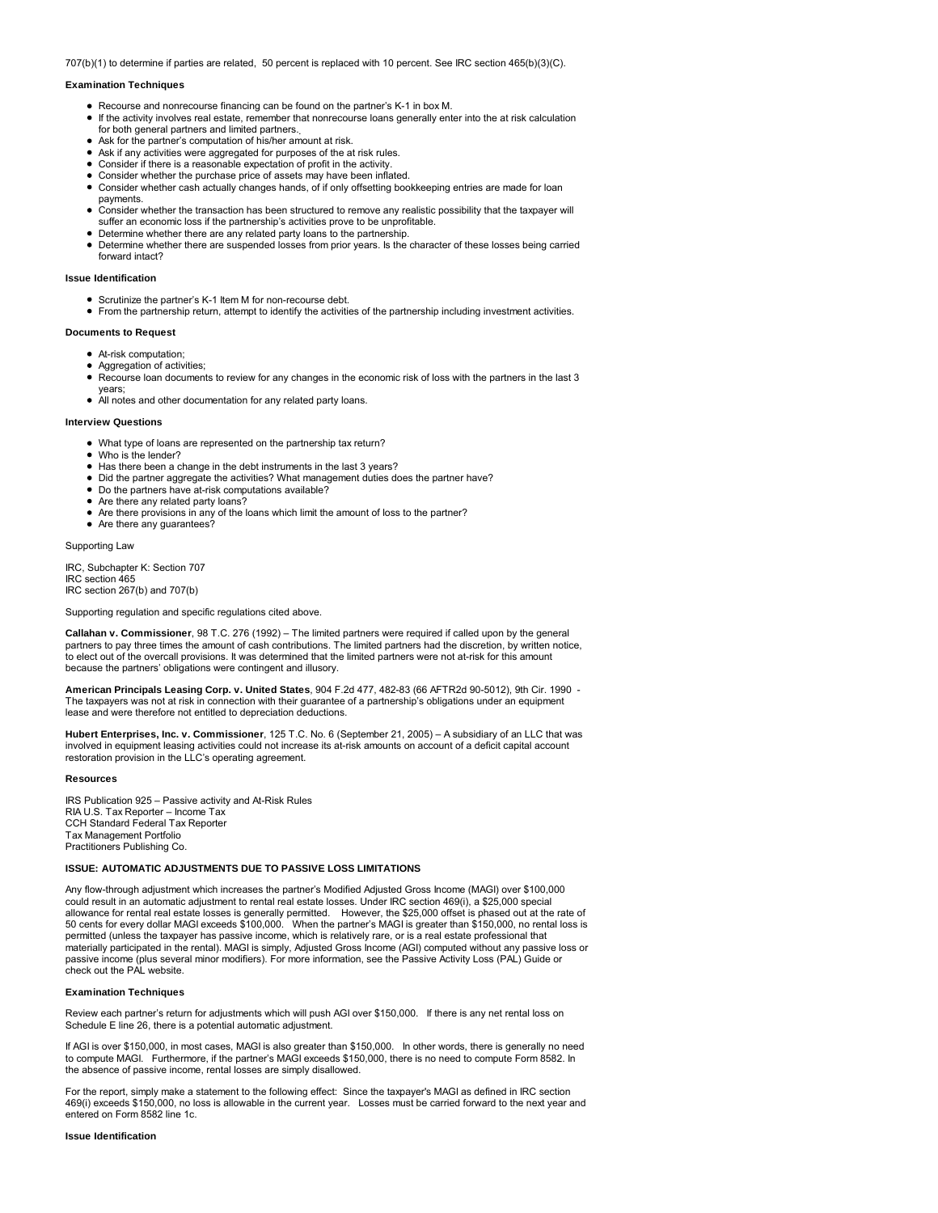707(b)(1) to determine if parties are related, 50 percent is replaced with 10 percent. See IRC section 465(b)(3)(C).

### **Examination Techniques**

- Recourse and nonrecourse financing can be found on the partner's K-1 in box M.
- If the activity involves real estate, remember that nonrecourse loans generally enter into the at risk calculation for both general partners and limited partners.
- Ask for the partner's computation of his/her amount at risk.
- Ask if any activities were aggregated for purposes of the at risk rules.
- Consider if there is a reasonable expectation of profit in the activity. Consider whether the purchase price of assets may have been inflated.
- 
- Consider whether cash actually changes hands, of if only offsetting bookkeeping entries are made for loan payments.
- Consider whether the transaction has been structured to remove any realistic possibility that the taxpayer will suffer an economic loss if the partnership's activities prove to be unprofitable.
- Determine whether there are any related party loans to the partnership.
- Determine whether there are suspended losses from prior years. Is the character of these losses being carried forward intact?

### **Issue Identification**

- Scrutinize the partner's K-1 Item M for non-recourse debt.
- From the partnership return, attempt to identify the activities of the partnership including investment activities.

# **Documents to Request**

- At-risk computation;
- Aggregation of activities;
- Recourse loan documents to review for any changes in the economic risk of loss with the partners in the last 3
- years;
- All notes and other documentation for any related party loans.

#### **Interview Questions**

- What type of loans are represented on the partnership tax return?
- Who is the lender?
- Has there been a change in the debt instruments in the last 3 years?
- Did the partner aggregate the activities? What management duties does the partner have?
- Do the partners have at-risk computations available?
- Are there any related party loans? • Are there provisions in any of the loans which limit the amount of loss to the partner?
- Are there any guarantees?

Supporting Law

IRC, Subchapter K: Section 707 IRC section 465 IRC section 267(b) and 707(b)

Supporting regulation and specific regulations cited above.

**Callahan v. Commissioner**, 98 T.C. 276 (1992) – The limited partners were required if called upon by the general partners to pay three times the amount of cash contributions. The limited partners had the discretion, by written notice, to elect out of the overcall provisions. It was determined that the limited partners were not at-risk for this amount because the partners' obligations were contingent and illusory.

**American Principals Leasing Corp. v. United States**, 904 F.2d 477, 482-83 (66 AFTR2d 90-5012), 9th Cir. 1990 - The taxpayers was not at risk in connection with their guarantee of a partnership's obligations under an equipment lease and were therefore not entitled to depreciation deductions.

**Hubert Enterprises, Inc. v. Commissioner**, 125 T.C. No. 6 (September 21, 2005) – A subsidiary of an LLC that was involved in equipment leasing activities could not increase its at-risk amounts on account of a deficit capital account restoration provision in the LLC's operating agreement.

#### **Resources**

IRS Publication 925 – Passive activity and At-Risk Rules RIA U.S. Tax Reporter – Income Tax CCH Standard Federal Tax Reporter Tax Management Portfolio Practitioners Publishing Co.

## **ISSUE: AUTOMATIC ADJUSTMENTS DUE TO PASSIVE LOSS LIMITATIONS**

Any flow-through adjustment which increases the partner's Modified Adjusted Gross Income (MAGI) over \$100,000 could result in an automatic adjustment to rental real estate losses. Under IRC section 469(i), a \$25,000 special allowance for rental real estate losses is generally permitted. However, the \$25,000 offset is phased out at the rate of 50 cents for every dollar MAGI exceeds \$100,000. When the partner's MAGI is greater than \$150,000, no rental loss is permitted (unless the taxpayer has passive income, which is relatively rare, or is a real estate professional that materially participated in the rental). MAGI is simply, Adjusted Gross Income (AGI) computed without any passive loss or<br>passive income (plus several minor modifiers). For more information, see the Passive Activity Loss (P check out the PAL website.

### **Examination Techniques**

Review each partner's return for adjustments which will push AGI over \$150,000. If there is any net rental loss on Schedule E line 26, there is a potential automatic adjustment.

If AGI is over \$150,000, in most cases, MAGI is also greater than \$150,000. In other words, there is generally no need to compute MAGI. Furthermore, if the partner's MAGI exceeds \$150,000, there is no need to compute Form 8582. In the absence of passive income, rental losses are simply disallowed.

For the report, simply make a statement to the following effect: Since the taxpayer's MAGI as defined in IRC section 469(i) exceeds \$150,000, no loss is allowable in the current year. Losses must be carried forward to the next year and entered on Form 8582 line 1c.

# **Issue Identification**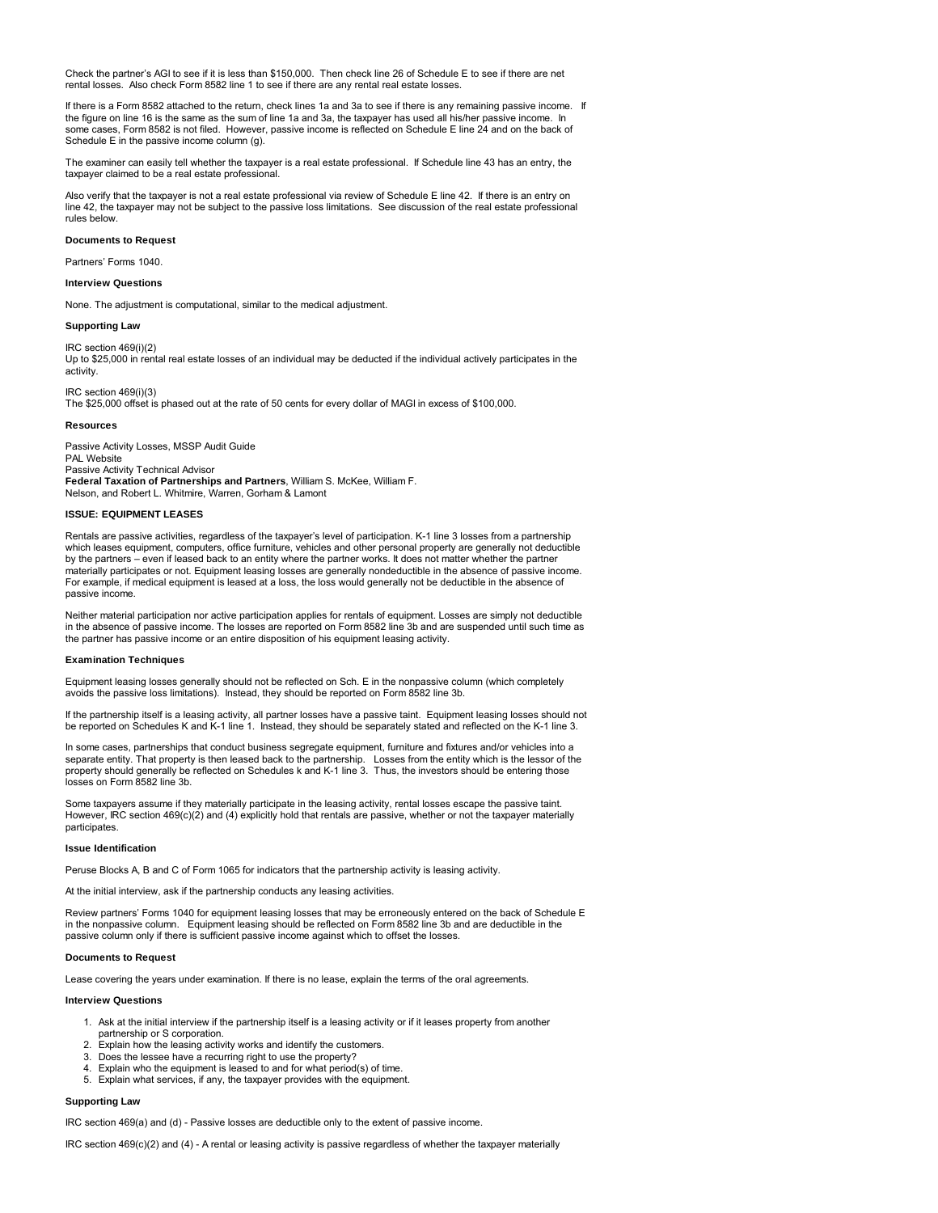Check the partner's AGI to see if it is less than \$150,000. Then check line 26 of Schedule E to see if there are net rental losses. Also check Form 8582 line 1 to see if there are any rental real estate losses.

If there is a Form 8582 attached to the return, check lines 1a and 3a to see if there is any remaining passive income. If the figure on line 16 is the same as the sum of line 1a and 3a, the taxpayer has used all his/her passive income. In some cases, Form 8582 is not filed. However, passive income is reflected on Schedule E line 24 and on the back of Schedule E in the passive income column (g).

The examiner can easily tell whether the taxpayer is a real estate professional. If Schedule line 43 has an entry, the taxpayer claimed to be a real estate professional.

Also verify that the taxpayer is not a real estate professional via review of Schedule E line 42. If there is an entry on line 42, the taxpayer may not be subject to the passive loss limitations. See discussion of the real estate professional rules below.

# **Documents to Request**

Partners' Forms 1040.

# **Interview Questions**

None. The adjustment is computational, similar to the medical adjustment.

# **Supporting Law**

IRC section 469(i)(2) Up to \$25,000 in rental real estate losses of an individual may be deducted if the individual actively participates in the activity.

IRC section 469(i)(3) The \$25,000 offset is phased out at the rate of 50 cents for every dollar of MAGI in excess of \$100,000.

### **Resources**

Passive Activity Losses, MSSP Audit Guide PAL Website Passive Activity Technical Advisor **Federal Taxation of Partnerships and Partners**, William S. McKee, William F. Nelson, and Robert L. Whitmire, Warren, Gorham & Lamont

# **ISSUE: EQUIPMENT LEASES**

Rentals are passive activities, regardless of the taxpayer's level of participation. K-1 line 3 losses from a partnership which leases equipment, computers, office furniture, vehicles and other personal property are generally not deductible by the partners – even if leased back to an entity where the partner works. It does not matter whether the partner materially participates or not. Equipment leasing losses are generally nondeductible in the absence of passive income. For example, if medical equipment is leased at a loss, the loss would generally not be deductible in the absence of passive income.

Neither material participation nor active participation applies for rentals of equipment. Losses are simply not deductible in the absence of passive income. The losses are reported on Form 8582 line 3b and are suspended until such time as the partner has passive income or an entire disposition of his equipment leasing activity.

#### **Examination Techniques**

Equipment leasing losses generally should not be reflected on Sch. E in the nonpassive column (which completely avoids the passive loss limitations). Instead, they should be reported on Form 8582 line 3b.

If the partnership itself is a leasing activity, all partner losses have a passive taint. Equipment leasing losses should not be reported on Schedules K and K-1 line 1. Instead, they should be separately stated and reflected on the K-1 line 3.

In some cases, partnerships that conduct business segregate equipment, furniture and fixtures and/or vehicles into a separate entity. That property is then leased back to the partnership. Losses from the entity which is the lessor of the property should generally be reflected on Schedules k and K-1 line 3. Thus, the investors should be entering those losses on Form 8582 line 3b.

Some taxpayers assume if they materially participate in the leasing activity, rental losses escape the passive taint. However, IRC section 469(c)(2) and (4) explicitly hold that rentals are passive, whether or not the taxpayer materially participates.

# **Issue Identification**

Peruse Blocks A, B and C of Form 1065 for indicators that the partnership activity is leasing activity.

At the initial interview, ask if the partnership conducts any leasing activities.

Review partners' Forms 1040 for equipment leasing losses that may be erroneously entered on the back of Schedule E in the nonpassive column. Equipment leasing should be reflected on Form 8582 line 3b and are deductible in the passive column only if there is sufficient passive income against which to offset the losses.

# **Documents to Request**

Lease covering the years under examination. If there is no lease, explain the terms of the oral agreements.

# **Interview Questions**

- 1. Ask at the initial interview if the partnership itself is a leasing activity or if it leases property from another
- partnership or S corporation.
- 2. Explain how the leasing activity works and identify the customers.
- 3. Does the lessee have a recurring right to use the property?
- Explain who the equipment is leased to and for what period(s) of time. 5. Explain what services, if any, the taxpayer provides with the equipment.

# **Supporting Law**

IRC section 469(a) and (d) - Passive losses are deductible only to the extent of passive income.

IRC section 469(c)(2) and (4) - A rental or leasing activity is passive regardless of whether the taxpayer materially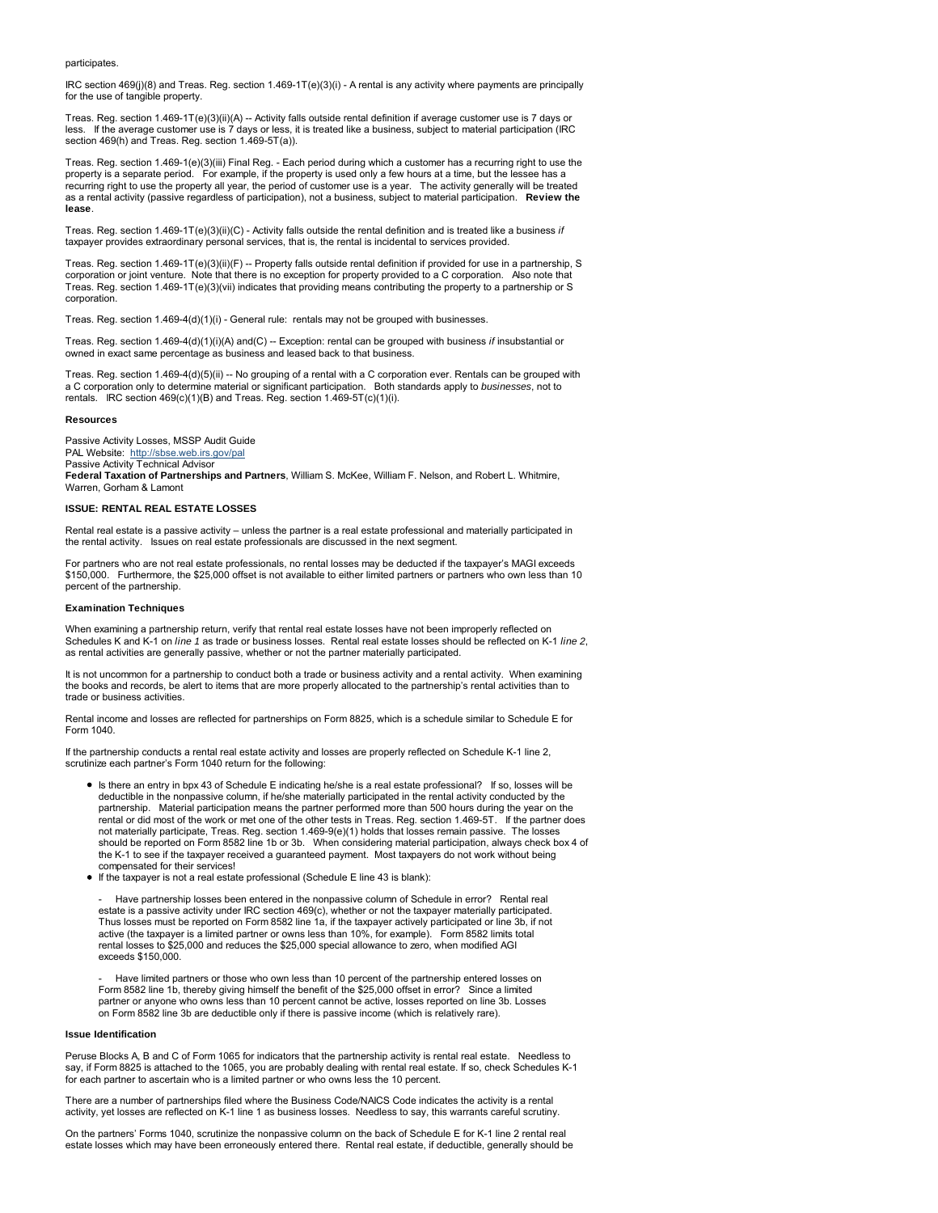# participates.

IRC section 469(j)(8) and Treas. Reg. section 1.469-1T(e)(3)(i) - A rental is any activity where payments are principally for the use of tangible property.

Treas. Reg. section 1.469-1T(e)(3)(ii)(A) -- Activity falls outside rental definition if average customer use is 7 days or<br>Iess. If the average customer use is 7 days or less, it is treated like a business, subject to mate section 469(h) and Treas. Reg. section 1.469-5T(a)).

Treas. Reg. section 1.469-1(e)(3)(iii) Final Reg. - Each period during which a customer has a recurring right to use the property is a separate period. For example, if the property is used only a few hours at a time, but the lessee has a recurring right to use the property all year, the period of customer use is a year. The activity generally will be treated as a rental activity (passive regardless of participation), not a business, subject to material participation. **Review the lease**.

Treas. Reg. section 1.469-1T(e)(3)(ii)(C) - Activity falls outside the rental definition and is treated like a business *if* taxpayer provides extraordinary personal services, that is, the rental is incidental to services provided

Treas. Reg. section 1.469-1T(e)(3)(ii)(F) -- Property falls outside rental definition if provided for use in a partnership, S corporation or joint venture. Note that there is no exception for property provided to a C corporation. Also note that Treas. Reg. section 1.469-1T(e)(3)(vii) indicates that providing means contributing the property to a partnership or S corporation.

Treas. Reg. section 1.469-4(d)(1)(i) - General rule: rentals may not be grouped with businesses.

Treas. Reg. section 1.469-4(d)(1)(i)(A) and(C) -- Exception: rental can be grouped with business *if* insubstantial or owned in exact same percentage as business and leased back to that business.

Treas. Reg. section 1.469-4(d)(5)(ii) -- No grouping of a rental with a C corporation ever. Rentals can be grouped with a C corporation only to determine material or significant participation. Both standards apply to *businesses*, not to rentals. IRC section 469(c)(1)(B) and Treas. Reg. section 1.469-5T(c)(1)(i).

### **Resources**

Passive Activity Losses, MSSP Audit Guide PAL Website: http://sbse.web.irs.gov/pal Passive Activity Technical Advisor **Federal Taxation of Partnerships and Partners**, William S. McKee, William F. Nelson, and Robert L. Whitmire, Warren, Gorham & Lamont

#### **ISSUE: RENTAL REAL ESTATE LOSSES**

Rental real estate is a passive activity – unless the partner is a real estate professional and materially participated in the rental activity. Issues on real estate professionals are discussed in the next segment.

For partners who are not real estate professionals, no rental losses may be deducted if the taxpayer's MAGI exceeds \$150,000. Furthermore, the \$25,000 offset is not available to either limited partners or partners who own less than 10 percent of the partnership.

# **Examination Techniques**

When examining a partnership return, verify that rental real estate losses have not been improperly reflected on Schedules K and K-1 on *line 1* as trade or business losses. Rental real estate losses should be reflected on K-1 *line 2*, as rental activities are generally passive, whether or not the partner materially participated.

It is not uncommon for a partnership to conduct both a trade or business activity and a rental activity. When examining the books and records, be alert to items that are more properly allocated to the partnership's rental activities than to trade or business activities.

Rental income and losses are reflected for partnerships on Form 8825, which is a schedule similar to Schedule E for Form 1040.

If the partnership conducts a rental real estate activity and losses are properly reflected on Schedule K-1 line 2, scrutinize each partner's Form 1040 return for the following:

- Is there an entry in bpx 43 of Schedule E indicating he/she is a real estate professional? If so, losses will be deductible in the nonpassive column, if he/she materially participated in the rental activity conducted by the partnership. Material participation means the partner performed more than 500 hours during the year on the rental or did most of the work or met one of the other tests in Treas. Reg. section 1.469-5T. If the partner does not materially participate, Treas. Reg. section 1.469-9(e)(1) holds that losses remain passive. The losses should be reported on Form 8582 line 1b or 3b. When considering material participation, always check box 4 of the K-1 to see if the taxpayer received a guaranteed payment. Most taxpayers do not work without being compensated for their services!
- If the taxpayer is not a real estate professional (Schedule E line 43 is blank):

Have partnership losses been entered in the nonpassive column of Schedule in error? Rental real estate is a passive activity under IRC section 469(c), whether or not the taxpayer materially participated. Thus losses must be reported on Form 8582 line 1a, if the taxpayer actively participated or line 3b, if not active (the taxpayer is a limited partner or owns less than 10%, for example). Form 8582 limits total rental losses to \$25,000 and reduces the \$25,000 special allowance to zero, when modified AGI exceeds \$150,000.

Have limited partners or those who own less than 10 percent of the partnership entered losses on Form 8582 line 1b, thereby giving himself the benefit of the \$25,000 offset in error? Since a limited partner or anyone who owns less than 10 percent cannot be active, losses reported on line 3b. Losses on Form 8582 line 3b are deductible only if there is passive income (which is relatively rare).

#### **Issue Identification**

Peruse Blocks A, B and C of Form 1065 for indicators that the partnership activity is rental real estate. Needless to say, if Form 8825 is attached to the 1065, you are probably dealing with rental real estate. If so, check Schedules K-1 for each partner to ascertain who is a limited partner or who owns less the 10 percent.

There are a number of partnerships filed where the Business Code/NAICS Code indicates the activity is a rental activity, yet losses are reflected on K-1 line 1 as business losses. Needless to say, this warrants careful scrutiny.

On the partners' Forms 1040, scrutinize the nonpassive column on the back of Schedule E for K-1 line 2 rental real estate losses which may have been erroneously entered there. Rental real estate, if deductible, generally should be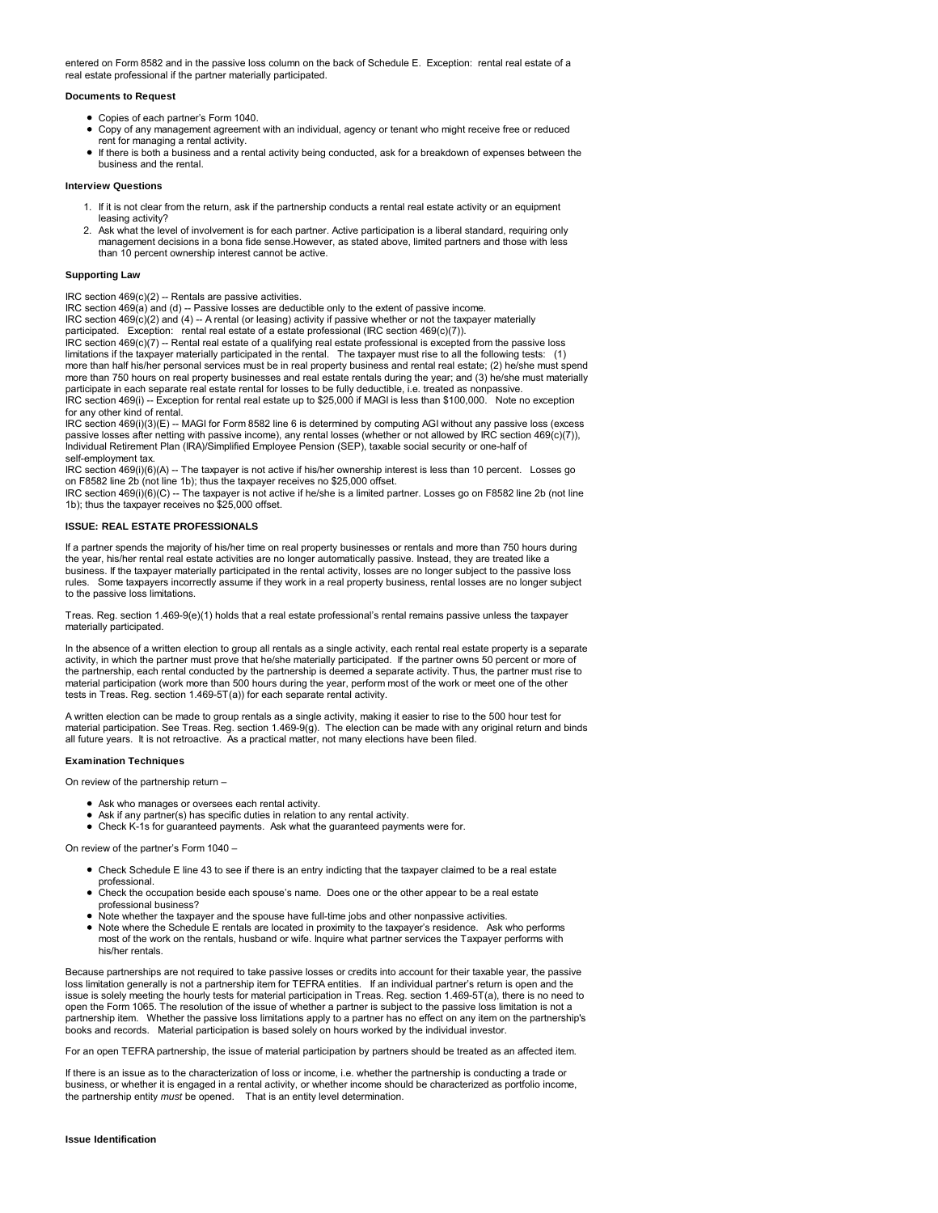entered on Form 8582 and in the passive loss column on the back of Schedule E. Exception: rental real estate of a real estate professional if the partner materially participated.

# **Documents to Request**

- Copies of each partner's Form 1040.
- Copy of any management agreement with an individual, agency or tenant who might receive free or reduced rent for managing a rental activity.
- If there is both a business and a rental activity being conducted, ask for a breakdown of expenses between the business and the rental.

# **Interview Questions**

- 1. If it is not clear from the return, ask if the partnership conducts a rental real estate activity or an equipment leasing activity?
- 2. Ask what the level of involvement is for each partner. Active participation is a liberal standard, requiring only management decisions in a bona fide sense. However, as stated above, limited partners and those with less than 10 percent ownership interest cannot be active.

### **Supporting Law**

IRC section 469(c)(2) -- Rentals are passive activities.

IRC section 469(a) and (d) -- Passive losses are deductible only to the extent of passive income.

IRC section 469(c)(2) and (4) -- A rental (or leasing) activity if passive whether or not the taxpayer materially participated. Exception: rental real estate of a estate professional (IRC section 469(c)(7)).

IRC section 469(c)(7) -- Rental real estate of a qualifying real estate professional is excepted from the passive loss limitations if the taxpayer materially participated in the rental. The taxpayer must rise to all the following tests: (1) more than half his/her personal services must be in real property business and rental real estate; (2) he/she must spend more than 750 hours on real property businesses and real estate rentals during the year; and (3) he/she must materially participate in each separate real estate rental for losses to be fully deductible, i.e. treated as nonpassive.<br>IRC section 469(i) -- Exception for rental real estate up to \$25,000 if MAGI is less than \$100,000. Note no e for any other kind of rental.

IRC section 469(i)(3)(E) -- MAGI for Form 8582 line 6 is determined by computing AGI without any passive loss (excess<br>passive losses after netting with passive income), any rental losses (whether or not allowed by IRC sect self-employment tax.

IRC section 469(i)(6)(A) -- The taxpayer is not active if his/her ownership interest is less than 10 percent. Losses go on F8582 line 2b (not line 1b); thus the taxpayer receives no \$25,000 offset.

IRC section 469(i)(6)(C) -- The taxpayer is not active if he/she is a limited partner. Losses go on F8582 line 2b (not line 1b); thus the taxpayer receives no \$25,000 offset.

# **ISSUE: REAL ESTATE PROFESSIONALS**

If a partner spends the majority of his/her time on real property businesses or rentals and more than 750 hours during the year, his/her rental real estate activities are no longer automatically passive. Instead, they are treated like a<br>business. If the taxpayer materially participated in the rental activity, losses are no longer subject t rules. Some taxpayers incorrectly assume if they work in a real property business, rental losses are no longer subject to the passive loss limitations.

Treas. Reg. section 1.469-9(e)(1) holds that a real estate professional's rental remains passive unless the taxpayer materially participated.

In the absence of a written election to group all rentals as a single activity, each rental real estate property is a separate<br>activity, in which the partner must prove that he/she materially participated. If the partner o material participation (work more than 500 hours during the year, perform most of the work or meet one of the other tests in Treas. Reg. section 1.469-5T(a)) for each separate rental activity.

A written election can be made to group rentals as a single activity, making it easier to rise to the 500 hour test for material participation. See Treas. Reg. section 1.469-9(g). The election can be made with any original return and binds all future years. It is not retroactive. As a practical matter, not many elections have been filed.

#### **Examination Techniques**

On review of the partnership return –

- Ask who manages or oversees each rental activity.
- Ask if any partner(s) has specific duties in relation to any rental activity.
- Check K-1s for guaranteed payments. Ask what the guaranteed payments were for.

On review of the partner's Form 1040 –

- Check Schedule E line 43 to see if there is an entry indicting that the taxpayer claimed to be a real estate professional.
- Check the occupation beside each spouse's name. Does one or the other appear to be a real estate professional business?
- Note whether the taxpayer and the spouse have full-time jobs and other nonpassive activities.
- Note where the Schedule E rentals are located in proximity to the taxpayer's residence. Ask who performs most of the work on the rentals, husband or wife. Inquire what partner services the Taxpayer performs with his/her rentals.

Because partnerships are not required to take passive losses or credits into account for their taxable year, the passive loss limitation generally is not a partnership item for TEFRA entities. If an individual partner's return is open and the issue is solely meeting the hourly tests for material participation in Treas. Reg. section 1.469-5T(a), there is no need to open the Form 1065. The resolution of the issue of whether a partner is subject to the passive loss limitation is not a partnership item. Whether the passive loss limitations apply to a partner has no effect on any item on the partnership's books and records. Material participation is based solely on hours worked by the individual investor.

For an open TEFRA partnership, the issue of material participation by partners should be treated as an affected item.

If there is an issue as to the characterization of loss or income, i.e. whether the partnership is conducting a trade or business, or whether it is engaged in a rental activity, or whether income should be characterized as portfolio income, the partnership entity *must* be opened. That is an entity level determination.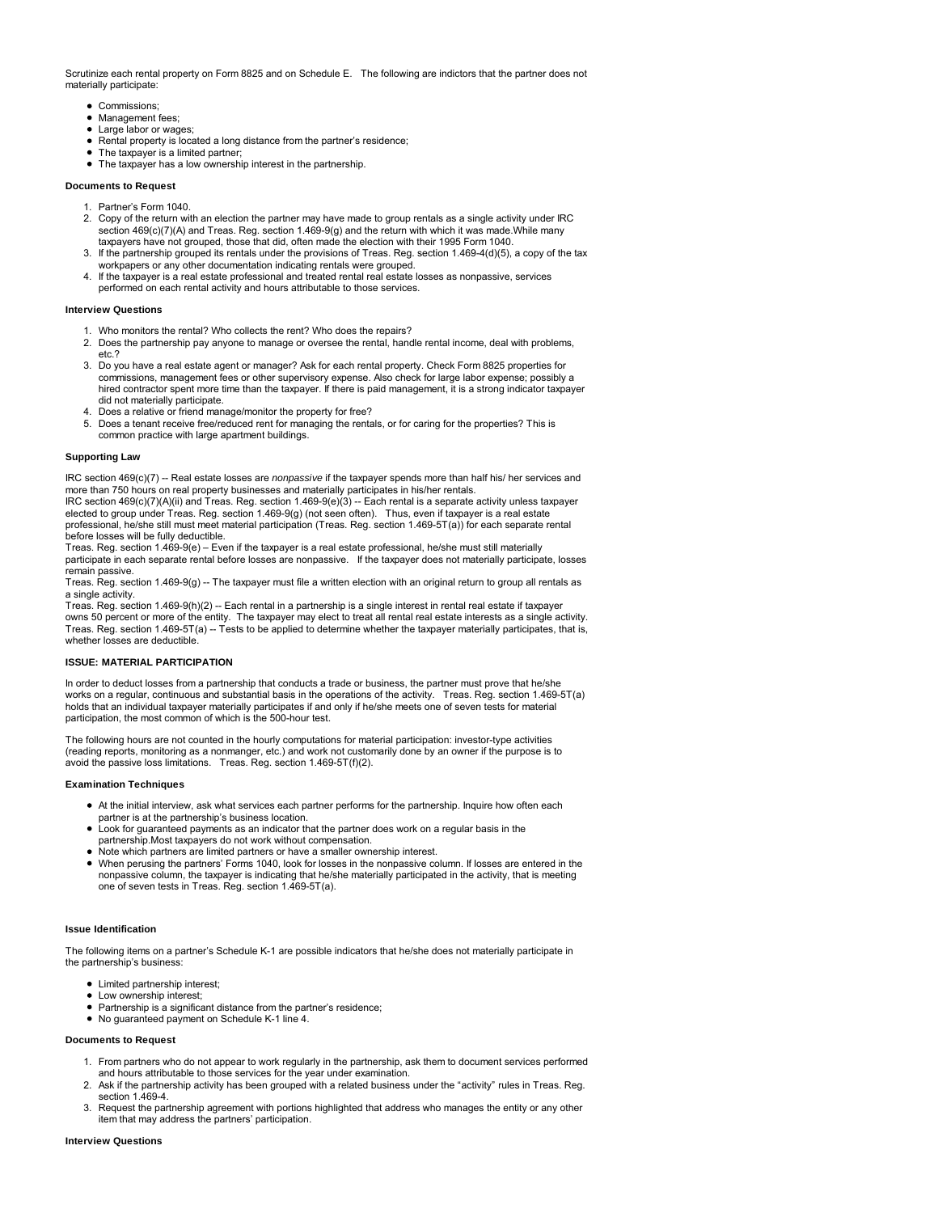Scrutinize each rental property on Form 8825 and on Schedule E. The following are indictors that the partner does not materially participate:

- Commissions:
- Management fees;
- Large labor or wages;
- Rental property is located a long distance from the partner's residence;
- The taxpayer is a limited partner
- The taxpayer has a low ownership interest in the partnership.

# **Documents to Request**

- 1. Partner's Form 1040.
- 2. Copy of the return with an election the partner may have made to group rentals as a single activity under IRC section 469(c)(7)(A) and Treas. Reg. section 1.469-9(g) and the return with which it was made.While many taxpayers have not grouped, those that did, often made the election with their 1995 Form 1040.
- 3. If the partnership grouped its rentals under the provisions of Treas. Reg. section 1.469-4(d)(5), a copy of the tax workpapers or any other documentation indicating rentals were grouped.
- 4. If the taxpayer is a real estate professional and treated rental real estate losses as nonpassive, services performed on each rental activity and hours attributable to those services.

### **Interview Questions**

- 1. Who monitors the rental? Who collects the rent? Who does the repairs?
- 2. Does the partnership pay anyone to manage or oversee the rental, handle rental income, deal with problems, etc.?
- 3. Do you have a real estate agent or manager? Ask for each rental property. Check Form 8825 properties for commissions, management fees or other supervisory expense. Also check for large labor expense; possibly a hired contractor spent more time than the taxpayer. If there is paid management, it is a strong indicator taxpayer did not materially participate.
- 4. Does a relative or friend manage/monitor the property for free?
- 5. Does a tenant receive free/reduced rent for managing the rentals, or for caring for the properties? This is common practice with large apartment buildings.

# **Supporting Law**

IRC section 469(c)(7) -- Real estate losses are *nonpassive* if the taxpayer spends more than half his/ her services and more than 750 hours on real property businesses and materially participates in his/her rentals.

 $IRC$  section  $469(c)(7)(A)(ii)$  and Treas. Reg. section  $1.469-9(e)(3)$  -- Each rental is a separate activity unless taxpayer elected to group under Treas. Reg. section 1.469-9(g) (not seen often). Thus, even if taxpayer is a real estate professional, he/she still must meet material participation (Treas. Reg. section 1.469-5T(a)) for each separate rental before losses will be fully deductible.

Treas. Reg. section 1.469-9(e) – Even if the taxpayer is a real estate professional, he/she must still materially participate in each separate rental before losses are nonpassive. If the taxpayer does not materially participate, losses remain passive.

Treas. Reg. section 1.469-9(g) -- The taxpayer must file a written election with an original return to group all rentals as a single activity.

Treas. Reg. section 1.469-9(h)(2) -- Each rental in a partnership is a single interest in rental real estate if taxpayer owns 50 percent or more of the entity. The taxpayer may elect to treat all rental real estate interests as a single activity. Treas. Reg. section 1.469-5T(a) -- Tests to be applied to determine whether the taxpayer materially participates, that is, whether losses are deductible.

### **ISSUE: MATERIAL PARTICIPATION**

In order to deduct losses from a partnership that conducts a trade or business, the partner must prove that he/she works on a regular, continuous and substantial basis in the operations of the activity. Treas. Reg. section 1.469-5T(a) holds that an individual taxpayer materially participates if and only if he/she meets one of seven tests for material participation, the most common of which is the 500-hour test.

The following hours are not counted in the hourly computations for material participation: investor-type activities (reading reports, monitoring as a nonmanger, etc.) and work not customarily done by an owner if the purpose is to avoid the passive loss limitations. Treas. Reg. section 1.469-5T(f)(2).

# **Examination Techniques**

At the initial interview, ask what services each partner performs for the partnership. Inquire how often each

- partner is at the partnership's business location.
- Look for guaranteed payments as an indicator that the partner does work on a regular basis in the partnership.Most taxpayers do not work without compensation.
- Note which partners are limited partners or have a smaller ownership interest.
- When perusing the partners' Forms 1040, look for losses in the nonpassive column. If losses are entered in the nonpassive column, the taxpayer is indicating that he/she materially participated in the activity, that is meeting one of seven tests in Treas. Reg. section 1.469-5T(a).

# **Issue Identification**

The following items on a partner's Schedule K-1 are possible indicators that he/she does not materially participate in the partnership's business:

- **•** Limited partnership interest:
- Low ownership interest:
- Partnership is a significant distance from the partner's residence;
- No guaranteed payment on Schedule K-1 line 4.

# **Documents to Request**

- From partners who do not appear to work regularly in the partnership, ask them to document services performed 1. and hours attributable to those services for the year under examination.
- 2. Ask if the partnership activity has been grouped with a related business under the "activity" rules in Treas. Reg. section 1.469-4.
- 3. Request the partnership agreement with portions highlighted that address who manages the entity or any other item that may address the partners' participation.

### **Interview Questions**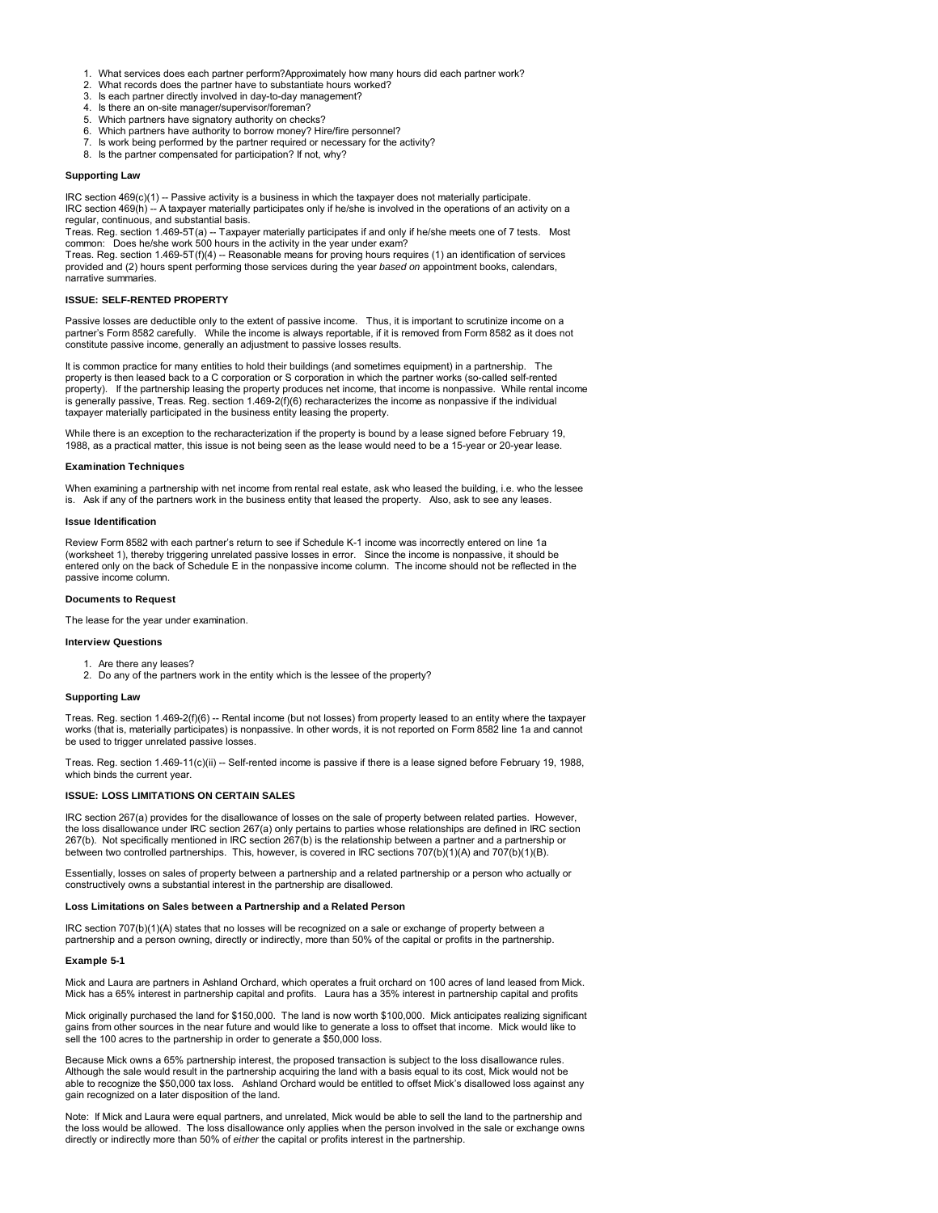- 1. What services does each partner perform?Approximately how many hours did each partner work?<br>2. What records does the partner have to substantiate hours worked?
- What records does the partner have to substantiate hours worked?
- 3. Is each partner directly involved in day-to-day management?
- 4. Is there an on-site manager/supervisor/foreman?
- 5. Which partners have signatory authority on checks? 6. Which partners have authority to borrow money? Hire/fire personnel?
- 7. Is work being performed by the partner required or necessary for the activity?
- 8. Is the partner compensated for participation? If not, why?

# **Supporting Law**

IRC section 469(c)(1) -- Passive activity is a business in which the taxpayer does not materially participate.

IRC section 469(h) -- A taxpayer materially participates only if he/she is involved in the operations of an activity on a regular, continuous, and substantial basis.

Treas. Reg. section 1.469-5T(a) -- Taxpayer materially participates if and only if he/she meets one of 7 tests. Most common: Does he/she work 500 hours in the activity in the year under exam?

Treas. Reg. section 1.469-5T(f)(4) -- Reasonable means for proving hours requires (1) an identification of services provided and (2) hours spent performing those services during the year *based on* appointment books, calendars, narrative summaries.

#### **ISSUE: SELF-RENTED PROPERTY**

Passive losses are deductible only to the extent of passive income. Thus, it is important to scrutinize income on a partner's Form 8582 carefully. While the income is always reportable, if it is removed from Form 8582 as it does not constitute passive income, generally an adjustment to passive losses results.

It is common practice for many entities to hold their buildings (and sometimes equipment) in a partnership. The property is then leased back to a C corporation or S corporation in which the partner works (so-called self-rented property). If the partnership leasing the property produces net income, that income is nonpassive. While rental income is generally passive, Treas. Reg. section 1.469-2(f)(6) recharacterizes the income as nonpassive if the individual taxpayer materially participated in the business entity leasing the property.

While there is an exception to the recharacterization if the property is bound by a lease signed before February 19, 1988, as a practical matter, this issue is not being seen as the lease would need to be a 15-year or 20-year lease.

#### **Examination Techniques**

When examining a partnership with net income from rental real estate, ask who leased the building, i.e. who the lessee is. Ask if any of the partners work in the business entity that leased the property. Also, ask to see any leases.

# **Issue Identification**

Review Form 8582 with each partner's return to see if Schedule K-1 income was incorrectly entered on line 1a (worksheet 1), thereby triggering unrelated passive losses in error. Since the income is nonpassive, it should be entered only on the back of Schedule E in the nonpassive income column. The income should not be reflected in the passive income column.

### **Documents to Request**

The lease for the year under examination.

# **Interview Questions**

- 1. Are there any leases?
- 2. Do any of the partners work in the entity which is the lessee of the property?

#### **Supporting Law**

Treas. Reg. section 1.469-2(f)(6) -- Rental income (but not losses) from property leased to an entity where the taxpayer works (that is, materially participates) is nonpassive. In other words, it is not reported on Form 8582 line 1a and cannot be used to trigger unrelated passive losses.

Treas. Reg. section 1.469-11(c)(ii) -- Self-rented income is passive if there is a lease signed before February 19, 1988, which binds the current year.

### **ISSUE: LOSS LIMITATIONS ON CERTAIN SALES**

IRC section 267(a) provides for the disallowance of losses on the sale of property between related parties. However, the loss disallowance under IRC section 267(a) only pertains to parties whose relationships are defined in IRC section 267(b). Not specifically mentioned in IRC section 267(b) is the relationship between a partner and a partnership or between two controlled partnerships. This, however, is covered in IRC sections 707(b)(1)(A) and 707(b)(1)(B).

Essentially, losses on sales of property between a partnership and a related partnership or a person who actually or constructively owns a substantial interest in the partnership are disallowed.

# **Loss Limitations on Sales between a Partnership and a Related Person**

IRC section 707(b)(1)(A) states that no losses will be recognized on a sale or exchange of property between a partnership and a person owning, directly or indirectly, more than 50% of the capital or profits in the partnership.

#### **Example 5-1**

Mick and Laura are partners in Ashland Orchard, which operates a fruit orchard on 100 acres of land leased from Mick. Mick has a 65% interest in partnership capital and profits. Laura has a 35% interest in partnership capital and profits

Mick originally purchased the land for \$150,000. The land is now worth \$100,000. Mick anticipates realizing significant gains from other sources in the near future and would like to generate a loss to offset that income. Mick would like to sell the 100 acres to the partnership in order to generate a \$50,000 loss.

Because Mick owns a 65% partnership interest, the proposed transaction is subject to the loss disallowance rules. Although the sale would result in the partnership acquiring the land with a basis equal to its cost, Mick would not be able to recognize the \$50,000 tax loss. Ashland Orchard would be entitled to offset Mick's disallowed loss against any gain recognized on a later disposition of the land.

Note: If Mick and Laura were equal partners, and unrelated, Mick would be able to sell the land to the partnership and the loss would be allowed. The loss disallowance only applies when the person involved in the sale or exchange owns directly or indirectly more than 50% of *either* the capital or profits interest in the partnership.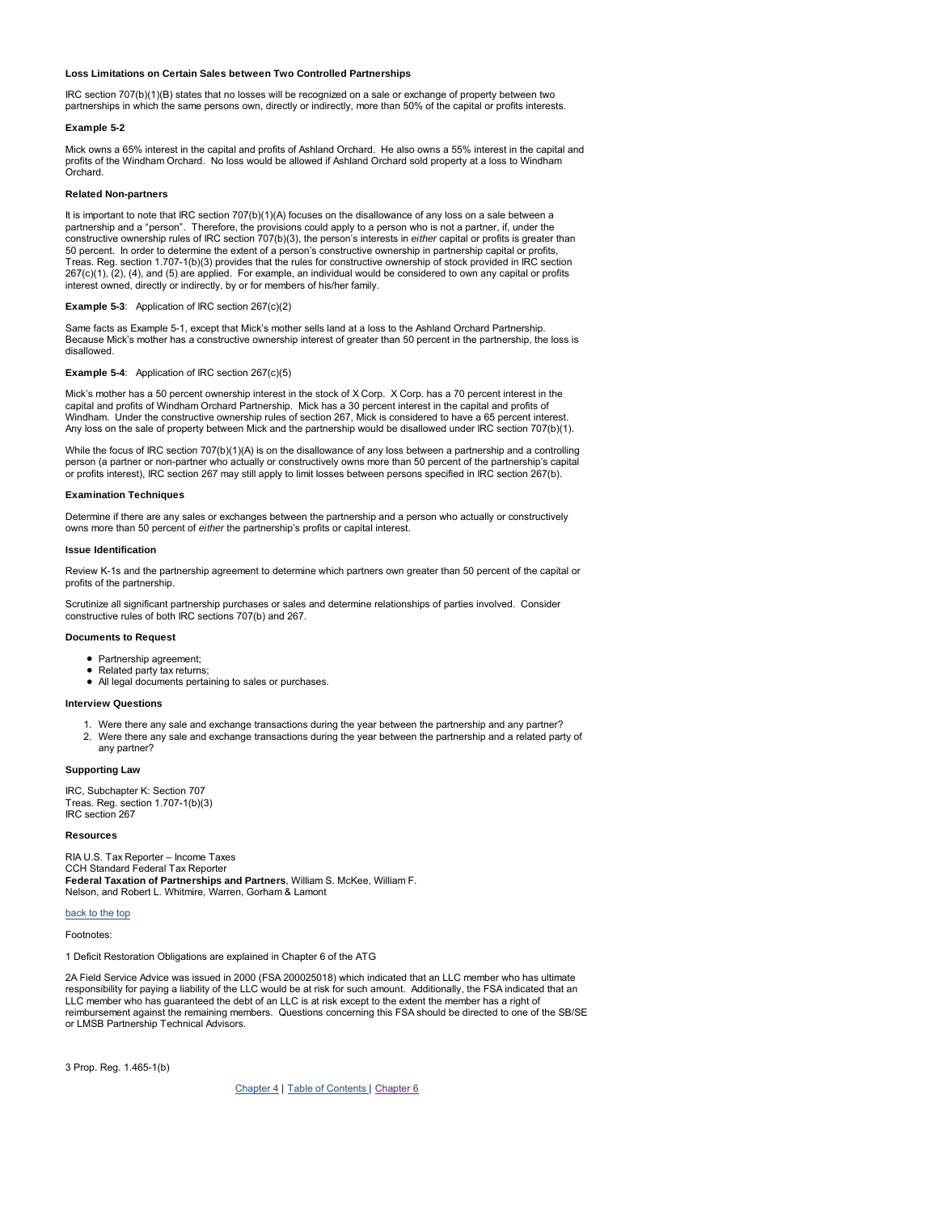# **Loss Limitations on Certain Sales between Two Controlled Partnerships**

IRC section 707(b)(1)(B) states that no losses will be recognized on a sale or exchange of property between two partnerships in which the same persons own, directly or indirectly, more than 50% of the capital or profits interests.

#### **Example 5-2**

Mick owns a 65% interest in the capital and profits of Ashland Orchard. He also owns a 55% interest in the capital and profits of the Windham Orchard. No loss would be allowed if Ashland Orchard sold property at a loss to Windham Orchard.

### **Related Non-partners**

It is important to note that IRC section 707(b)(1)(A) focuses on the disallowance of any loss on a sale between a partnership and a "person". Therefore, the provisions could apply to a person who is not a partner, if, under the constructive ownership rules of IRC section 707(b)(3), the person's interests in *either* capital or profits is greater than 50 percent. In order to determine the extent of a person's constructive ownership in partnership capital or profits, Treas. Reg. section 1.707-1(b)(3) provides that the rules for constructive ownership of stock provided in IRC section 267(c)(1), (2), (4), and (5) are applied. For example, an individual would be considered to own any capital or profits interest owned, directly or indirectly, by or for members of his/her family.

### **Example 5-3**: Application of IRC section 267(c)(2)

Same facts as Example 5-1, except that Mick's mother sells land at a loss to the Ashland Orchard Partnership. Because Mick's mother has a constructive ownership interest of greater than 50 percent in the partnership, the loss is disallowed.

#### **Example 5-4**: Application of IRC section 267(c)(5)

Mick's mother has a 50 percent ownership interest in the stock of X Corp. X Corp. has a 70 percent interest in the capital and profits of Windham Orchard Partnership. Mick has a 30 percent interest in the capital and profits of Windham. Under the constructive ownership rules of section 267, Mick is considered to have a 65 percent interest. Any loss on the sale of property between Mick and the partnership would be disallowed under IRC section 707(b)(1).

While the focus of IRC section 707(b)(1)(A) is on the disallowance of any loss between a partnership and a controlling person (a partner or non-partner who actually or constructively owns more than 50 percent of the partnership's capital or profits interest), IRC section 267 may still apply to limit losses between persons specified in IRC section 267(b).

#### **Examination Techniques**

Determine if there are any sales or exchanges between the partnership and a person who actually or constructively owns more than 50 percent of *either* the partnership's profits or capital interest.

#### **Issue Identification**

Review K-1s and the partnership agreement to determine which partners own greater than 50 percent of the capital or profits of the partnership.

Scrutinize all significant partnership purchases or sales and determine relationships of parties involved. Consider constructive rules of both IRC sections 707(b) and 267.

### **Documents to Request**

- Partnership agreement;
- Related party tax returns:
- All legal documents pertaining to sales or purchases.

### **Interview Questions**

- 1. Were there any sale and exchange transactions during the year between the partnership and any partner?
- 2. Were there any sale and exchange transactions during the year between the partnership and a related party of any partner?

# **Supporting Law**

IRC, Subchapter K: Section 707 Treas. Reg. section 1.707-1(b)(3) IRC section 267

**Resources**

RIA U.S. Tax Reporter – Income Taxes CCH Standard Federal Tax Reporter **Federal Taxation of Partnerships and Partners**, William S. McKee, William F. Nelson, and Robert L. Whitmire, Warren, Gorham & Lamont

#### back to the top

Footnotes:

1 Deficit Restoration Obligations are explained in Chapter 6 of the ATG

2A Field Service Advice was issued in 2000 (FSA 200025018) which indicated that an LLC member who has ultimate responsibility for paying a liability of the LLC would be at risk for such amount. Additionally, the FSA indicated that an LLC member who has guaranteed the debt of an LLC is at risk except to the extent the member has a right of reimbursement against the remaining members. Questions concerning this FSA should be directed to one of the SB/SE or LMSB Partnership Technical Advisors.

3 Prop. Reg. 1.465-1(b)